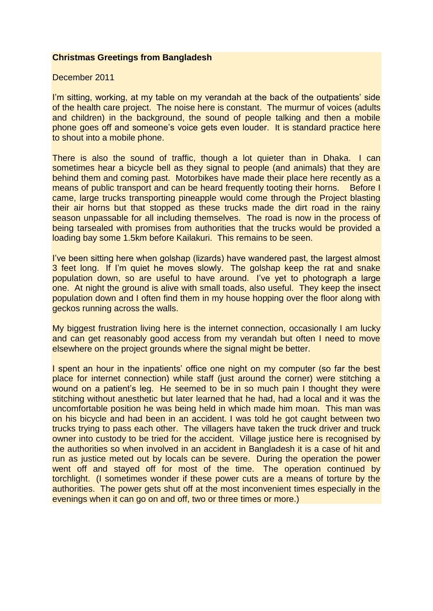#### **Christmas Greetings from Bangladesh**

December 2011

I'm sitting, working, at my table on my verandah at the back of the outpatients' side of the health care project. The noise here is constant. The murmur of voices (adults and children) in the background, the sound of people talking and then a mobile phone goes off and someone's voice gets even louder. It is standard practice here to shout into a mobile phone.

There is also the sound of traffic, though a lot quieter than in Dhaka. I can sometimes hear a bicycle bell as they signal to people (and animals) that they are behind them and coming past. Motorbikes have made their place here recently as a means of public transport and can be heard frequently tooting their horns. Before I came, large trucks transporting pineapple would come through the Project blasting their air horns but that stopped as these trucks made the dirt road in the rainy season unpassable for all including themselves. The road is now in the process of being tarsealed with promises from authorities that the trucks would be provided a loading bay some 1.5km before Kailakuri. This remains to be seen.

I've been sitting here when golshap (lizards) have wandered past, the largest almost 3 feet long. If I'm quiet he moves slowly. The golshap keep the rat and snake population down, so are useful to have around. I've yet to photograph a large one. At night the ground is alive with small toads, also useful. They keep the insect population down and I often find them in my house hopping over the floor along with geckos running across the walls.

My biggest frustration living here is the internet connection, occasionally I am lucky and can get reasonably good access from my verandah but often I need to move elsewhere on the project grounds where the signal might be better.

I spent an hour in the inpatients' office one night on my computer (so far the best place for internet connection) while staff (just around the corner) were stitching a wound on a patient's leg. He seemed to be in so much pain I thought they were stitching without anesthetic but later learned that he had, had a local and it was the uncomfortable position he was being held in which made him moan. This man was on his bicycle and had been in an accident. I was told he got caught between two trucks trying to pass each other. The villagers have taken the truck driver and truck owner into custody to be tried for the accident. Village justice here is recognised by the authorities so when involved in an accident in Bangladesh it is a case of hit and run as justice meted out by locals can be severe. During the operation the power went off and stayed off for most of the time. The operation continued by torchlight. (I sometimes wonder if these power cuts are a means of torture by the authorities. The power gets shut off at the most inconvenient times especially in the evenings when it can go on and off, two or three times or more.)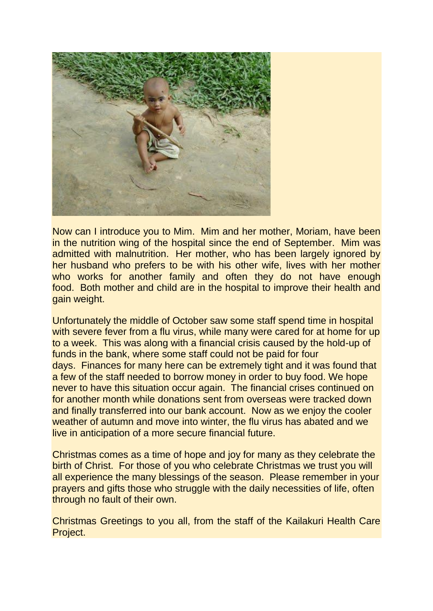

Now can I introduce you to Mim. Mim and her mother, Moriam, have been in the nutrition wing of the hospital since the end of September. Mim was admitted with malnutrition. Her mother, who has been largely ignored by her husband who prefers to be with his other wife, lives with her mother who works for another family and often they do not have enough food. Both mother and child are in the hospital to improve their health and gain weight.

Unfortunately the middle of October saw some staff spend time in hospital with severe fever from a flu virus, while many were cared for at home for up to a week. This was along with a financial crisis caused by the hold-up of funds in the bank, where some staff could not be paid for four days. Finances for many here can be extremely tight and it was found that a few of the staff needed to borrow money in order to buy food. We hope never to have this situation occur again. The financial crises continued on for another month while donations sent from overseas were tracked down and finally transferred into our bank account. Now as we enjoy the cooler weather of autumn and move into winter, the flu virus has abated and we live in anticipation of a more secure financial future.

Christmas comes as a time of hope and joy for many as they celebrate the birth of Christ. For those of you who celebrate Christmas we trust you will all experience the many blessings of the season. Please remember in your prayers and gifts those who struggle with the daily necessities of life, often through no fault of their own.

Christmas Greetings to you all, from the staff of the Kailakuri Health Care Project.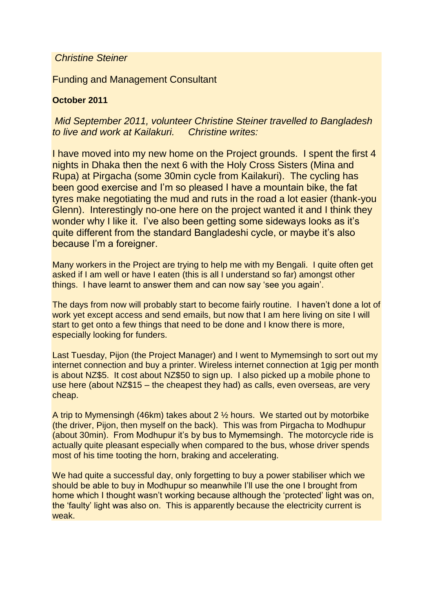### *Christine Steiner*

Funding and Management Consultant

# **October 2011**

# *Mid September 2011, volunteer Christine Steiner travelled to Bangladesh to live and work at Kailakuri. Christine writes:*

I have moved into my new home on the Project grounds. I spent the first 4 nights in Dhaka then the next 6 with the Holy Cross Sisters (Mina and Rupa) at Pirgacha (some 30min cycle from Kailakuri). The cycling has been good exercise and I'm so pleased I have a mountain bike, the fat tyres make negotiating the mud and ruts in the road a lot easier (thank-you Glenn). Interestingly no-one here on the project wanted it and I think they wonder why I like it. I've also been getting some sideways looks as it's quite different from the standard Bangladeshi cycle, or maybe it's also because I'm a foreigner.

Many workers in the Project are trying to help me with my Bengali. I quite often get asked if I am well or have I eaten (this is all I understand so far) amongst other things. I have learnt to answer them and can now say 'see you again'.

The days from now will probably start to become fairly routine. I haven't done a lot of work yet except access and send emails, but now that I am here living on site I will start to get onto a few things that need to be done and I know there is more, especially looking for funders.

Last Tuesday, Pijon (the Project Manager) and I went to Mymemsingh to sort out my internet connection and buy a printer. Wireless internet connection at 1gig per month is about NZ\$5. It cost about NZ\$50 to sign up. I also picked up a mobile phone to use here (about NZ\$15 – the cheapest they had) as calls, even overseas, are very cheap.

A trip to Mymensingh (46km) takes about 2 ½ hours. We started out by motorbike (the driver, Pijon, then myself on the back). This was from Pirgacha to Modhupur (about 30min). From Modhupur it's by bus to Mymemsingh. The motorcycle ride is actually quite pleasant especially when compared to the bus, whose driver spends most of his time tooting the horn, braking and accelerating.

We had quite a successful day, only forgetting to buy a power stabiliser which we should be able to buy in Modhupur so meanwhile I'll use the one I brought from home which I thought wasn't working because although the 'protected' light was on, the 'faulty' light was also on. This is apparently because the electricity current is weak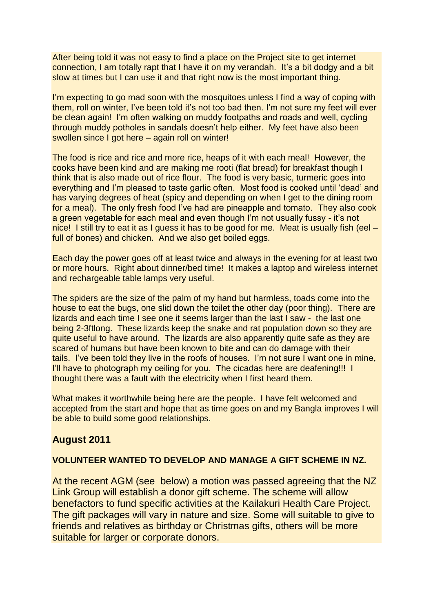After being told it was not easy to find a place on the Project site to get internet connection, I am totally rapt that I have it on my verandah. It's a bit dodgy and a bit slow at times but I can use it and that right now is the most important thing.

I'm expecting to go mad soon with the mosquitoes unless I find a way of coping with them, roll on winter, I've been told it's not too bad then. I'm not sure my feet will ever be clean again! I'm often walking on muddy footpaths and roads and well, cycling through muddy potholes in sandals doesn't help either. My feet have also been swollen since I got here – again roll on winter!

The food is rice and rice and more rice, heaps of it with each meal! However, the cooks have been kind and are making me rooti (flat bread) for breakfast though I think that is also made out of rice flour. The food is very basic, turmeric goes into everything and I'm pleased to taste garlic often. Most food is cooked until 'dead' and has varying degrees of heat (spicy and depending on when I get to the dining room for a meal). The only fresh food I've had are pineapple and tomato. They also cook a green vegetable for each meal and even though I'm not usually fussy - it's not nice! I still try to eat it as I guess it has to be good for me. Meat is usually fish (eel – full of bones) and chicken. And we also get boiled eggs.

Each day the power goes off at least twice and always in the evening for at least two or more hours. Right about dinner/bed time! It makes a laptop and wireless internet and rechargeable table lamps very useful.

The spiders are the size of the palm of my hand but harmless, toads come into the house to eat the bugs, one slid down the toilet the other day (poor thing). There are lizards and each time I see one it seems larger than the last I saw - the last one being 2-3ftlong. These lizards keep the snake and rat population down so they are quite useful to have around. The lizards are also apparently quite safe as they are scared of humans but have been known to bite and can do damage with their tails. I've been told they live in the roofs of houses. I'm not sure I want one in mine, I'll have to photograph my ceiling for you. The cicadas here are deafening!!! I thought there was a fault with the electricity when I first heard them.

What makes it worthwhile being here are the people. I have felt welcomed and accepted from the start and hope that as time goes on and my Bangla improves I will be able to build some good relationships.

### **August 2011**

#### **VOLUNTEER WANTED TO DEVELOP AND MANAGE A GIFT SCHEME IN NZ.**

At the recent AGM (see below) a motion was passed agreeing that the NZ Link Group will establish a donor gift scheme. The scheme will allow benefactors to fund specific activities at the Kailakuri Health Care Project. The gift packages will vary in nature and size. Some will suitable to give to friends and relatives as birthday or Christmas gifts, others will be more suitable for larger or corporate donors.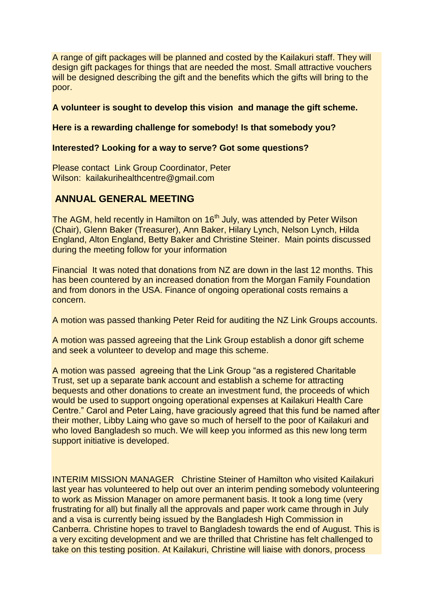A range of gift packages will be planned and costed by the Kailakuri staff. They will design gift packages for things that are needed the most. Small attractive vouchers will be designed describing the gift and the benefits which the gifts will bring to the poor.

#### **A volunteer is sought to develop this vision and manage the gift scheme.**

#### **Here is a rewarding challenge for somebody! Is that somebody you?**

#### **Interested? Looking for a way to serve? Got some questions?**

Please contact Link Group Coordinator, Peter Wilson: kailakurihealthcentre@gmail.com

## **ANNUAL GENERAL MEETING**

The AGM, held recently in Hamilton on 16<sup>th</sup> July, was attended by Peter Wilson (Chair), Glenn Baker (Treasurer), Ann Baker, Hilary Lynch, Nelson Lynch, Hilda England, Alton England, Betty Baker and Christine Steiner. Main points discussed during the meeting follow for your information

Financial It was noted that donations from NZ are down in the last 12 months. This has been countered by an increased donation from the Morgan Family Foundation and from donors in the USA. Finance of ongoing operational costs remains a concern.

A motion was passed thanking Peter Reid for auditing the NZ Link Groups accounts.

A motion was passed agreeing that the Link Group establish a donor gift scheme and seek a volunteer to develop and mage this scheme.

A motion was passed agreeing that the Link Group "as a registered Charitable Trust, set up a separate bank account and establish a scheme for attracting bequests and other donations to create an investment fund, the proceeds of which would be used to support ongoing operational expenses at Kailakuri Health Care Centre." Carol and Peter Laing, have graciously agreed that this fund be named after their mother, Libby Laing who gave so much of herself to the poor of Kailakuri and who loved Bangladesh so much. We will keep you informed as this new long term support initiative is developed.

INTERIM MISSION MANAGER Christine Steiner of Hamilton who visited Kailakuri last year has volunteered to help out over an interim pending somebody volunteering to work as Mission Manager on amore permanent basis. It took a long time (very frustrating for all) but finally all the approvals and paper work came through in July and a visa is currently being issued by the Bangladesh High Commission in Canberra. Christine hopes to travel to Bangladesh towards the end of August. This is a very exciting development and we are thrilled that Christine has felt challenged to take on this testing position. At Kailakuri, Christine will liaise with donors, process